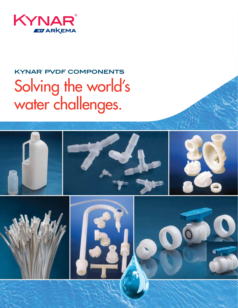

# **KYNAR® PVDF COMPONENTS** Solving the world's water challenges.

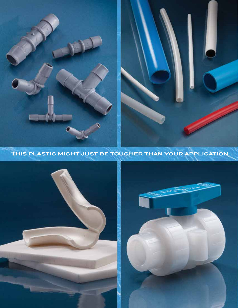

**This plastic might just be tougher than your application.**

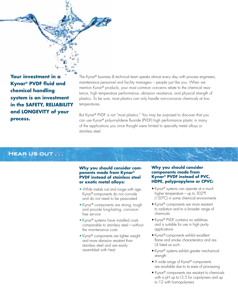**Your investment in a Kynar® PVDF fluid and chemical handling system is an investment in the SAFETY, RELIABILITY and LONGEVITY of your process.**

The Kynar® business & technical team speaks almost every day with process engineers, maintenance personnel and facility managers – people just like you. When we mention Kynar® products, your most common concerns relate to the chemical resistance, high temperature performance, abrasion resistance, and physical strength of plastics. To be sure, most plastics can only handle non-corrosive chemicals at low temperatures.

But Kynar® PVDF is not "most plastics." You may be surprised to discover that you can use Kynar® polyvinylidene fluoride (PVDF) high performance plastic in many of the applications you once thought were limited to specialty metal alloys or stainless steel.

### **Hear us out . . .**

#### **Why you should consider components made from Kynar® PVDF instead of stainless steel or exotic metal alloys:**

- While metals rust and rouge with age, Kynar® components do not corrode and do not need to be passivated
- Kynar® components are strong, tough and provide long-lasting, corrosionfree service
- Kynar® systems have installed costs comparable to stainless steel—without the maintenance costs
- Kynar® components are lighter weight and more abrasion resistant than stainless steel and are easily assembled with heat

#### **Why you should consider components made from Kynar® PVDF instead of PVC, HDPE, polypropylene or CPVC:**

- Kynar<sup>®</sup> systems can operate at a much higher temperature – up to 302°F (150°C) in some chemical environments
- Kynar® components are more resistant to radiation and to a broader range of chemicals
- Kynar® PVDF contains no additives and is suitable for use in high purity applications
- Kynar® components exhibit excellent flame and smoke characteristics and are UL listed as such.
- Kynar® systems exhibit greater mechanical strength
- A wide range of Kynar® components are available due to its ease of processing
- Kynar® components are resistant to chemicals with a pH up to13.5 for copolymers and up to 12 with homopolymers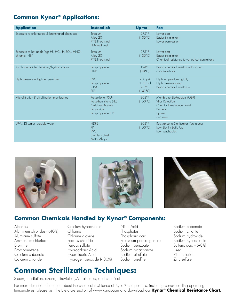## **Common Kynar® Applications:**

| <b>Application</b>                                                                                       | <b>Instead of:</b>                                                                                  | Up to:                                   | For:                                                                                                                  |
|----------------------------------------------------------------------------------------------------------|-----------------------------------------------------------------------------------------------------|------------------------------------------|-----------------------------------------------------------------------------------------------------------------------|
| Exposure to chlorinated & brominated chemicals                                                           | Titanium<br>Alloy 20<br>PTFE-lined steel<br>PFA-lined steel                                         | $275^{\circ}$ F<br>$(135^{\circ}C)$      | Lower cost<br>Easier installation<br>Lower permeation                                                                 |
| Exposure to hot acids (eg: HF, HCI, H <sub>2</sub> SO <sub>4</sub> , HNO <sub>3</sub> ,<br>chromic, HBr) | Titanium<br>Alloy 20<br>PTFF-lined steel                                                            | $275^{\circ}$ F<br>$(135^{\circ}C)$      | Lower cost<br>Easier installation<br>Chemical resistance to varied concentrations                                     |
| Alcohol + acids/chlorides/hydrocarbons                                                                   | Polypropylene<br><b>HDPE</b>                                                                        | 194°F<br>$(90^{\circ}C)$                 | Broad chemical resistance to varied<br>concentrations                                                                 |
| High pressure + high temperature                                                                         | PVC<br>Polypropylene<br><b>CPVC</b><br><b>PFA</b>                                                   | 230 psi<br>at RT and<br>285°F<br>(141°C) | High temperature rigidity<br>High pressure rating<br>Broad chemical resistance                                        |
| Microfiltration & ultrafiltration membranes                                                              | Polysulfone (PSU)<br>Polyethersulfone (PES)<br>Cellulose Acetate<br>Polyamide<br>Polypropylene (PP) | 302°F<br>$(150^{\circ}C)$                | Membrane BioReactors (MBR)<br>Virus Rejection<br>Chemical Resistance Protein<br><b>Bacteria</b><br>Spores<br>Sediment |
| UPW, DI water, potable water                                                                             | <b>HDPE</b><br>PP<br><b>PVC</b><br>Stainless Steel<br>Metal Alloys                                  | 302°F<br>$(150^{\circ}C)$                | Resistance to Sterilization Techniques<br>Low Biofilm Build Up<br>Low Leachables                                      |







## **Common Chemicals Handled by Kynar® Components:**

Alcohols Aluminum chlorides (<40%) Aluminum sulfate Ammonium chloride Bromine Bromobenzene Calcium cabonate Calcium chloride

Calcium hypochlorite **Chlorine** Chlorine dioxide Ferrous chloride Ferrous sulfate Hydrochloric Acid Hydrofluoric Acid Hydrogen peroxide (<30%) Nitric Acid **Phosphates** Phosphoric acid Potassium permanganate Sodium benzoate Sodium bicarbonate Sodium bisulfate Sodium bisulfite

Sodium cabonate Sodium chlorite Sodium hydroxide Sodium hypochlorite Sulfuric acid (<98%) Urea Zinc chloride Zinc sulfate

# **Common Sterilization Techniques:**

Steam, irradiation, ozone, ultraviolet (UV), alcohols, and chemical

For more detailed information about the chemical resistance of Kynar® components, including corresponding operating temperatures, please visit the Literature section of www.kynar.com and download our **Kynar® Chemical Resistance Chart.**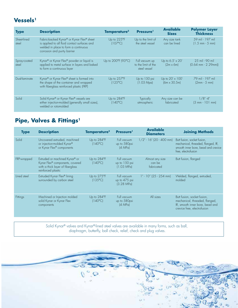## **Vessels1**

| <b>Type</b>           | <b>Description</b>                                                                                                                                                | Temperature <sup>2</sup>                 | Pressure <sup>1</sup>                                 | Available<br><b>Sizes</b>                   | <b>Polymer Layer</b><br><b>Thickness</b>                      |
|-----------------------|-------------------------------------------------------------------------------------------------------------------------------------------------------------------|------------------------------------------|-------------------------------------------------------|---------------------------------------------|---------------------------------------------------------------|
| Sheet-lined<br>steel  | Fabric-backed Kynar® or Kynar Flex® sheet<br>is applied to all fluid contact surfaces and<br>welded in place to form a continuous<br>corrosion and purity barrier | Up to 225°F<br>$(107^{\circ}C)$          | Up to the limit of<br>the steel vessel                | Any size tank<br>can be lined               | 59 mil - 197 mil<br>$(1.5 \, \text{mm} \cdot 5 \, \text{mm})$ |
| Spray-coated<br>steel | Kynar <sup>®</sup> or Kynar Flex® powder or liquid is<br>applied to metal surface in layers and baked<br>to form a continuous layer                               | Up to 200°F (93°C)                       | Full vacuum up<br>to the limit of the<br>steel vessel | Up to $6.5' \times 20'$<br>$(2m \times 6m)$ | 25 mil - 90 mil<br>$(0.64$ mm $- 2.29$ mm $)$                 |
| Dual-laminate         | Kynar <sup>®</sup> or Kynar Flex <sup>®</sup> sheet is formed into<br>the shape of the container and wrapped<br>with fiberglass reinforced plastic (FRP)          | Up to $257^{\circ}F$<br>$(125^{\circ}C)$ | Up to 150 psi<br>$(1.03 \, Mpa)$                      | Up to 20' x 100'<br>$[6m \times 30.5m]$     | 79 mil - 197 mil<br>$(2mm - 5mm)$                             |
| Solid                 | Solid Kynar® or Kynar Flex® vessels are<br>either injection-molded (generally small sizes),<br>welded or rotomolded                                               | Up to $284^{\circ}F$<br>$(140^{\circ}C)$ | Typically<br>atmospheric                              | Any size can be<br>fabricated               | $1/8" -4"$<br>$(3 mm - 101 mm)$                               |

# **Pipe, Valves & Fittings1**

| <b>Type</b> | <b>Description</b>                                                                                                          | Temperature <sup>2</sup>        | Pressure <sup>1</sup>                            | <b>Available</b><br><b>Diameters</b>    | <b>Joining Methods</b>                                                                                                          |
|-------------|-----------------------------------------------------------------------------------------------------------------------------|---------------------------------|--------------------------------------------------|-----------------------------------------|---------------------------------------------------------------------------------------------------------------------------------|
| Solid       | Uncovered extruded, machined<br>or injection-molded Kynar®<br>or Kynar Flex® components                                     | Up to 284°F<br>$(140^{\circ}C)$ | Full vacuum<br>up to 580psi<br>$(4 \text{ MPa})$ | $1/2$ " - 16" (20 - 400 mm)             | Butt fusion, socket fusion,<br>mechanical, threaded, flanged, IR,<br>smooth inner bore, bead and crevice<br>free, electrofusion |
| FRP-wrapped | Extruded or machined Kynar® or<br>Kynar Flex® components, covered<br>with a thick layer of fiberglass<br>reinforced plastic | Up to 284°F<br>$(140^{\circ}C)$ | Full vacuum<br>up to 150 psi<br>(1.03 MPa)       | Almost any size<br>can be<br>fabricated | Butt fusion, flanged                                                                                                            |
| Lined steel | Extruded Kynar Flex <sup>®</sup> lining<br>surrounded by carbon steel                                                       | Up to 275°F<br>$(135^{\circ}C)$ | Full vacuum<br>up to 475 psi<br>$(3.28 \, MPa)$  | $1" - 10"$ (25 - 254 mm)                | Welded, flanged, extruded,<br>molded                                                                                            |
| Fittings    | Machined or Injection molded<br>solid Kynar or Kynar Flex<br>components                                                     | Up to 284°F<br>$(140^{\circ}C)$ | Full vacuum<br>up to 580psi<br>$(4 \text{ MPa})$ | All sizes                               | Butt fusion, socket fusion,<br>mechanical, threaded, flanged,<br>IR, smooth inner bore, bead and<br>crevice free, electrofusion |

Solid Kynar® valves and Kynar®-lined steel valves are available in many forms, such as ball, diaphragm, butterfly, ball check, relief, check and plug valves.

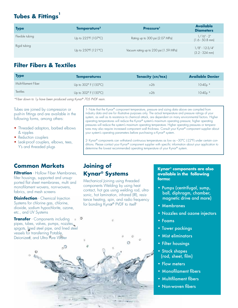## **Tubes & Fittings<sup>1</sup>**

| <b>Type</b>     | Temperature <sup>2</sup>                 | Pressure <sup>1</sup>                  | <b>Available</b><br><b>Diameters</b> |
|-----------------|------------------------------------------|----------------------------------------|--------------------------------------|
| Flexible tubing | Up to $225^{\circ}$ F (107 $^{\circ}$ C) | Rating up to 300 psi (2.07 MPa)        | $1/16" - 2"$<br>$(1.6 - 50.8$ mm     |
| Rigid tubing    | Up to $250^{\circ}$ F (121 $^{\circ}$ C) | Vacuum rating up to 230 psi (1.59 MPa) | $1/8$ " - 12-3/4"<br>$(3.2 - 324$ mm |

## **Filter Fibers & Textiles**

| <b>Type</b>          | <b>Temperatures</b>                      | <b>Tenacity (cn/tex)</b> | <b>Available Denier</b> |
|----------------------|------------------------------------------|--------------------------|-------------------------|
| Multi-filament Fiber | Up to $302^{\circ}$ F (150 $^{\circ}$ C) | >26                      | $10-40\nu *$            |
| <b>Textiles</b>      | Up to $302^{\circ}$ F (150 $^{\circ}$ C) | >26                      | $10-40\nu *$            |
|                      |                                          |                          |                         |

*\*Fiber down to 1µ have been produced using Kynar® 705 PVDF resin.*

Tubes are joined by compression or push-in fittings and are available in the following forms, among others:

- Threaded adaptors, barbed elbows & nipples
- Reduction couplers
- Leak-proof couplers, elbows, tees, Y's and threaded plugs

## **Common Markets**

**Filtration** - Hollow Fiber Membranes, filter housings, supported and unsupported flat sheet membranes, multi and monofilament wovens, non-wovens, fabrics, and mesh screens

**Disinfection** - Chemical Injection Systems for chlorine gas, chlorine, dioxide, sodium hypochlorite, ozone, etc., and UV Systems

**Transfer** - Components including pipes, tubes, valves, pumps, nozzles, spigots, lined steel pipe, and lined steel vessels for transferring Potable, Deionized, and Ultra Pure Water

1- Note that the Kynar® component temperature, pressure and sizing data above are compiled from industry data and are for illustrative purposes only. The actual temperature and pressure ratings of your system, as well as its resistance to chemical attack, are dependent on many environmental factors. Higher operating temperatures will reduce the Kynar® system's maximum operating pressure; higher operating pressures will reduce the system's maximum operating temperature. Higher operating pressures or temperatures may also require increased component wall thickness. Consult your Kynar® component supplier about your system's operating parameters before purchasing a Kynar® system.

2- Kynar® components can withstand continuous temperatures as low as -30°C (-22°F) under certain conditions. Please contact your Kynar® component supplier with specific information about your application to determine the lowest recommended operating temperature of your Kynar® system.

# **Joining of Kynar® Systems**

Mechanical Joining using threaded components Welding by using heat contact, hot gas using welding rod, ultrasonic, hot lamination, infrared (IR), resistance heating, spin, and radio frequency for bonding Kynar® PVDF to itself

#### **Kynar**® **components are also available in the following forms:**

- Pumps (centrifugal, sump, ball, diphragm, chamber, magnetic drive and more)
- Membranes
- Nozzles and ozone injectors
- Foams
- Tower packings
- Mist eliminators
- Filter housings
- Stock shapes (rod, sheet, film)
- Flow meters
- Monofilament fibers
- Multifilament fibers
- Non-woven fibers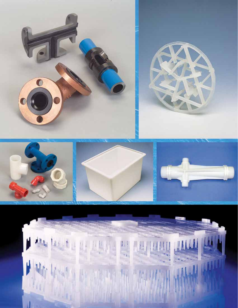